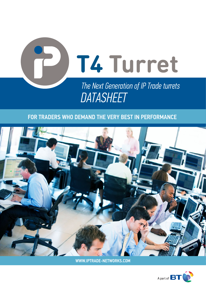

### FOR TRADERS WHO DEMAND THE VERY BEST IN PERFORMANCE



WWW.IPTRADE-NETWORKS.COM

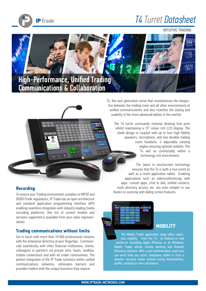

# *T4 Turret Datasheet*

INTUITIVE TRADING





### **Recording**

To ensure your Trading environment complies to MIFID and DODD Frank regulations, IP Trade has an open architecture and standard application programming interface (API) enabling seamless integration with industry leading media recording platforms. (the list of current models and versions supported is available from your sales representative).

### **Trading communications without limits**

Get in touch with more than 10.000 professional contacts with the enterprise directory at your fingertips. Communicate seamlessly with other financial institutions, clients, colleagues or partners via private wire, hoots, landline, mobile connections and with all trader communities. The perfect integration of the IP Trade solutions within unified communications networks, eliminates barriers and provides traders with the unique functions they require.

T4, the next generation turret that revolutionizes the integration between the trading room and all other environments of unified communications and also matches the styling and usability of the most advanced tablets in the market.

The T4 turret commands minimal desktop foot print whilst maintaining a 15" colour rich LCD display. The sleek design is coupled with up to four high fidelity speakers, microphone, and two durable trading room handsets, 4 adjustable viewing angles ensuring optimal visibility. The T4 will sit comfortably within a **WINDER** technology rich environment.

The latest in touchscreen technology ensures that the T4 is both a true turret as well as a multi-application tablet. Enabling applications such as videoconferencing, web apps, custom apps, click to dial, unified contacts, multi directory access, etc. are even simpler to use thanks to zooming and sliding screen features.

### **MOBILITY**

The Mobile Trader application range offers seamless mobility from the T4, to Android or web platforms (including Apple iPhones) or on Windows. Mobile Trader allows remote working and Disaster Recovery solutions. With a user authentication, each user can work from any turret, telephone, tablet or from a disaster recovery center without losing functionalities, profile, contacts or even call history.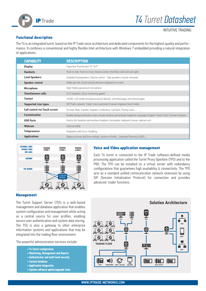

INTUITIVE TRADING

#### **Functional description**

The T4 is an integrated turret, based on the IP Trade voice architecture and dedicated components for the highest quality and performance. It combines a conventional and highly flexible Intel architecture with Windows 7 embedded providing a natural integration of applications.

| <b>CAPABILITY</b>                    | <b>DESCRIPTION</b>                                                                                                               |
|--------------------------------------|----------------------------------------------------------------------------------------------------------------------------------|
| <b>Display</b>                       | Capacitive Touchscreen 15" 16/9                                                                                                  |
| <b>Handsets</b>                      | Push-to-talk, Push-to-mute, Volume control, Red/Blue LEDs (left and right)                                                       |
| <b>Loud Speakers</b>                 | Amplified loudspeakers, Volume control - Side speakers (can be removed)                                                          |
| <b>Speaker control</b>               | Global per line, Sound activity detection displayed on screen                                                                    |
| <b>Microphone</b>                    | High-Fidelity gooseneck microphone                                                                                               |
| Simultaneous calls                   | 32 (2 handsets, 30 on monitoring applet)                                                                                         |
| <b>Contact</b>                       | 10.000, (140 visible simultaneously by default), unlimited pages and shared pages                                                |
| <b>Supported Line types</b>          | SIP, Public network, Trader Lines (automatic/manual ringdown) hoot'n holler                                                      |
| <b>Call control via Touch screen</b> | On Hold, Mute, Transfer, Dispatch, Conference, Call Back, Priority Lines,                                                        |
| <b>Customisation</b>                 | Variable background/button colors, private contacts, personalized ringdowns, languages (English, French, Dutch, German, Russian) |
| <b>USB Ports</b>                     | 8 ports (for headsets and wireless headsets, foot pedals, keyboard, mouse, webcam etc)                                           |
| Webcam                               | External (USB)                                                                                                                   |
| <b>Telepresence</b>                  | Integration with Cisco-Tandberg                                                                                                  |
| <b>Applications</b>                  | Replay on turret, dial from outlook, chrome or firefox, Corporate Directory (LDAP),                                              |



#### **Voice and Video application management**

Each T4 turret is connected to the IP Trade software-defined media processing application called the Turret Proxy Openline (TPO) and to the PBX. The TPO can be installed on a virtual server with redundancy configurations that guarantees high availability & connectivity. The TPO acts as a standard unified communication network extension by using SIP (Session Initialization Protocol) for connection and provides advanced trader functions.

#### **Management**

The Turret Support Server (TSS) is a web-based management and database application that enables system configuration and management while acting as a central source for user profiles, enabling secure user authentication and system data storing. The TSS is also a gateway to other enterprise information systems and applications that may be integrated into the trading floor environment.

The powerful administration services include:<br>
TRADING FLOOR

- **T4 Turret configuration**
- **Monitoring, Management and Reports**
- **Authenticator and multi level security**
- **System database**
- **Application Integration**
- **System software update/upgrade tools**

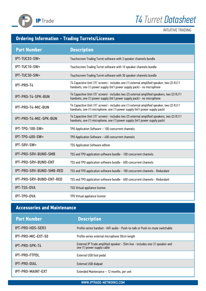



INTUITIVE TRADING

## **Ordering Information - Trading Turrets/Licenses**

| <b>Part Number</b>       | <b>Description</b>                                                                                                                                                           |
|--------------------------|------------------------------------------------------------------------------------------------------------------------------------------------------------------------------|
| IPT-TUC03-SW=            | Touchscreen Trading Turret software with 3 speaker channels bundle                                                                                                           |
| IPT-TUC10-SW=            | Touchscreen Trading Turret software with 10 speaker channels bundle                                                                                                          |
| IPT-TUC30-SW=            | Touchscreen Trading Turret software with 30 speaker channels bundle                                                                                                          |
| IPT-PRO-T4               | T4 Capacitive Unit (15" screen) - includes one (1) external amplified speaker, two (2) RJ11<br>handsets, one (1) power supply (Int'l power supply pack) - no microphone      |
| IPT-PRO-T4-SPK-BUN       | T4 Capacitive Unit (15" screen) - includes two (2) external amplified speakers, two (2) RJ11<br>handsets, one (1) power supply (Int'l power supply pack) - no microphone     |
| IPT-PRO-T4-MIC-BUN       | T4 Capacitive Unit (15" screen) - includes one (1) external amplified speaker, two (2) RJ11<br>handsets, one (1) microphone, one (1) power supply (Int'l power supply pack)  |
| IPT-PRO-T4-MIC-SPK-BUN   | T4 Capacitive Unit (15" screen) - includes two (2) external amplified speakers, two (2) RJ11<br>handsets, one (1) microphone, one (1) power supply (Int'l power supply pack) |
| IPT-TP0-100-SW=          | TPO Application Software - 100 concurrent channels                                                                                                                           |
| <b>IPT-TP0-400-SW=</b>   | TPO Application Software - 400 concurrent channels                                                                                                                           |
| IPT-SRV-SW=              | <b>TSS Application Software edition</b>                                                                                                                                      |
| IPT-PRO-SRV-BUND-SMB     | TSS and TPO application software bundle - 100 concurrent channels                                                                                                            |
| IPT-PRO-SRV-BUND-ENT     | TSS and TPO application software bundle - 400 concurrent channels                                                                                                            |
| IPT-PRO-SRV-BUND-SMB-RED | TSS and TPO application software bundle - 100 concurrent channels - Redundant                                                                                                |
| IPT-PRO-SRV-BUND-ENT-RED | TSS and TPO application software bundle - 400 concurrent channels - Redundant                                                                                                |
| <b>IPT-TSS-OVA</b>       | TSS Virtual appliance license                                                                                                                                                |
| <b>IPT-TPO-OVA</b>       | TPO Virtual appliance license                                                                                                                                                |

### **Accessories and Maintenance**

| <b>Part Number</b>       | <b>Description</b>                                                                                           |
|--------------------------|--------------------------------------------------------------------------------------------------------------|
| IPT-PRO-HDS-SER3         | Profile series handset - HiFi audio - Push-to-talk or Push-to-mute switchable                                |
| IPT-PRO-MIC-EXT-50       | Profile series external microphone 50cm length                                                               |
| IPT-PRO-SPK-T4           | External IP Trade amplified speaker - Slim line - includes one (1) speaker and<br>one (1) power supply cable |
| <b>IPT-PRO-FTPDL</b>     | External USB foot pedal                                                                                      |
| <b>IPT-PRO-DIAL</b>      | External USB dialpad                                                                                         |
| <b>IPT-PRO-MAINT-EXT</b> | Extended Maintenance - 12 months, per unit                                                                   |